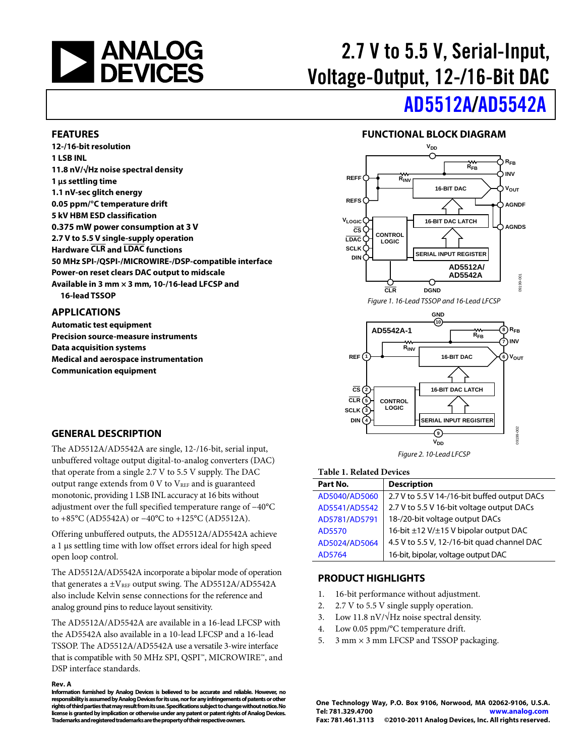

# 2.7 V to 5.5 V, Serial-Input, Voltage-Output, 12-/16-Bit DAC

# [AD5512A/](www.analog.com/AD5512A)[AD5542A](www.analog.com/AD5542A)

#### <span id="page-0-0"></span>**FEATURES**

**12-/16-bit resolution 1 LSB INL 11.8 nV/√Hz noise spectral density 1 µs settling time 1.1 nV-sec glitch energy 0.05 ppm/°C temperature drift 5 kV HBM ESD classification 0.375 mW power consumption at 3 V 2.7 V to 5.5 V single-supply operation Hardware CLR and LDAC functions 50 MHz SPI-/QSPI-/MICROWIRE-/DSP-compatible interface Power-on reset clears DAC output to midscale Available in 3 mm × 3 mm, 10-/16-lead LFCSP and 16-lead TSSOP** 

#### <span id="page-0-1"></span>**APPLICATIONS**

**Automatic test equipment Precision source-measure instruments Data acquisition systems Medical and aerospace instrumentation Communication equipment** 

<span id="page-0-3"></span>

**FUNCTIONAL BLOCK DIAGRAM** 

Figure 1. 16-Lead TSSOP and 16-Lead LFCSP



#### Figure 2. 10-Lead LFCSP

#### **Table 1. Related Devices**

| Part No.      | <b>Description</b>                           |
|---------------|----------------------------------------------|
| AD5040/AD5060 | 2.7 V to 5.5 V 14-/16-bit buffed output DACs |
| AD5541/AD5542 | 2.7 V to 5.5 V 16-bit voltage output DACs    |
| AD5781/AD5791 | 18-/20-bit voltage output DACs               |
| AD5570        | 16-bit ±12 V/±15 V bipolar output DAC        |
| AD5024/AD5064 | 4.5 V to 5.5 V, 12-/16-bit quad channel DAC  |
| AD5764        | 16-bit, bipolar, voltage output DAC          |

#### <span id="page-0-4"></span>**PRODUCT HIGHLIGHTS**

- 1. 16-bit performance without adjustment.
- 2. 2.7 V to 5.5 V single supply operation.
- 3. Low 11.8 nV/√Hz noise spectral density.
- 4. Low 0.05 ppm/°C temperature drift.
- 5.  $3 \text{ mm} \times 3 \text{ mm}$  LFCSP and TSSOP packaging.

**One Technology Way, P.O. Box 9106, Norwood, MA 02062-9106, U.S.A. Tel: 781.329.4700 [www.analog.com](http://www.analog.com/) Fax: 781.461.3113 ©2010-2011 Analog Devices, Inc. All rights reserved.** 

#### <span id="page-0-2"></span>**GENERAL DESCRIPTION**

The AD5512A/AD5542A are single, 12-/16-bit, serial input, unbuffered voltage output digital-to-analog converters (DAC) that operate from a single 2.7 V to 5.5 V supply. The DAC output range extends from  $0 \nabla$  to  $V_{REF}$  and is guaranteed monotonic, providing 1 LSB INL accuracy at 16 bits without adjustment over the full specified temperature range of −40°C to +85°C (AD5542A) or −40°C to +125°C (AD5512A).

Offering unbuffered outputs, the AD5512A/AD5542A achieve a 1 μs settling time with low offset errors ideal for high speed open loop control.

The AD5512A/AD5542A incorporate a bipolar mode of operation that generates a  $\pm$ V<sub>REF</sub> output swing. The AD5512A/AD5542A also include Kelvin sense connections for the reference and analog ground pins to reduce layout sensitivity.

The AD5512A/AD5542A are available in a 16-lead LFCSP with the AD5542A also available in a 10-lead LFCSP and a 16-lead TSSOP. The AD5512A/AD5542A use a versatile 3-wire interface that is compatible with 50 MHz SPI, QSPI™, MICROWIRE™, and DSP interface standards.

#### **Rev. A**

**Information furnished by Analog Devices is believed to be accurate and reliable. However, no responsibility is assumed by Analog Devices for its use, nor for any infringements of patents or other rights of third parties that may result from its use. Specifications subject to change without notice. No license is granted by implication or otherwise under any patent or patent rights of Analog Devices. Trademarks and registered trademarks are the property of their respective owners.**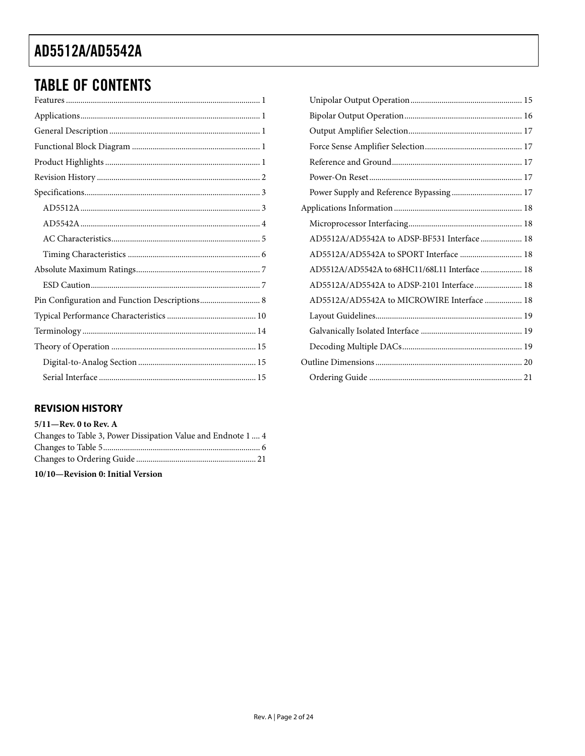## **TABLE OF CONTENTS**

| Pin Configuration and Function Descriptions 8 |
|-----------------------------------------------|
|                                               |
|                                               |
|                                               |
|                                               |
|                                               |

### <span id="page-1-0"></span>**REVISION HISTORY**

#### $5/11$ -Rev. 0 to Rev. A

| Changes to Table 3, Power Dissipation Value and Endnote 1  4 |  |
|--------------------------------------------------------------|--|
|                                                              |  |
|                                                              |  |

10/10-Revision 0: Initial Version

| AD5512A/AD5542A to ADSP-BF531 Interface  18   |  |
|-----------------------------------------------|--|
| AD5512A/AD5542A to SPORT Interface  18        |  |
| AD5512A/AD5542A to 68HC11/68L11 Interface  18 |  |
| AD5512A/AD5542A to ADSP-2101 Interface 18     |  |
| AD5512A/AD5542A to MICROWIRE Interface  18    |  |
|                                               |  |
|                                               |  |
|                                               |  |
|                                               |  |
|                                               |  |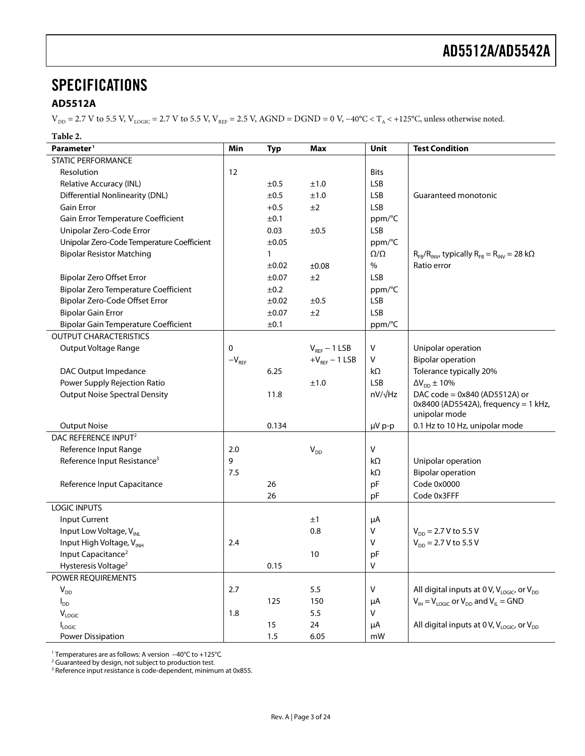### <span id="page-2-0"></span>**SPECIFICATIONS**

#### <span id="page-2-1"></span>**AD5512A**

 $V_{DD}$  = 2.7 V to 5.5 V,  $V_{LOGIC}$  = 2.7 V to 5.5 V,  $V_{REF}$  = 2.5 V, AGND = DGND = 0 V, −40°C < T<sub>A</sub> < +125°C, unless otherwise noted.

#### **Table 2.**

| Parameter <sup>1</sup>                      | Min        | <b>Typ</b>   | <b>Max</b>        | Unit            | <b>Test Condition</b>                                                   |
|---------------------------------------------|------------|--------------|-------------------|-----------------|-------------------------------------------------------------------------|
| STATIC PERFORMANCE                          |            |              |                   |                 |                                                                         |
| Resolution                                  | 12         |              |                   | <b>Bits</b>     |                                                                         |
| Relative Accuracy (INL)                     |            | ±0.5         | ±1.0              | <b>LSB</b>      |                                                                         |
| <b>Differential Nonlinearity (DNL)</b>      |            | ±0.5         | ±1.0              | <b>LSB</b>      | Guaranteed monotonic                                                    |
| <b>Gain Error</b>                           |            | $+0.5$       | ±2                | <b>LSB</b>      |                                                                         |
| Gain Error Temperature Coefficient          |            | ±0.1         |                   | ppm/°C          |                                                                         |
| Unipolar Zero-Code Error                    |            | 0.03         | ±0.5              | <b>LSB</b>      |                                                                         |
| Unipolar Zero-Code Temperature Coefficient  |            | ±0.05        |                   | ppm/°C          |                                                                         |
| <b>Bipolar Resistor Matching</b>            |            | $\mathbf{1}$ |                   | $\Omega/\Omega$ | $R_{FB}/R_{INV}$ , typically $R_{FB} = R_{INV} = 28$ k $\Omega$         |
|                                             |            | ±0.02        | ±0.08             | $\%$            | Ratio error                                                             |
| <b>Bipolar Zero Offset Error</b>            |            | ±0.07        | ±2                | <b>LSB</b>      |                                                                         |
| <b>Bipolar Zero Temperature Coefficient</b> |            | ±0.2         |                   | ppm/°C          |                                                                         |
| Bipolar Zero-Code Offset Error              |            | ±0.02        | ±0.5              | LSB             |                                                                         |
| <b>Bipolar Gain Error</b>                   |            | ±0.07        | ±2                | <b>LSB</b>      |                                                                         |
| <b>Bipolar Gain Temperature Coefficient</b> |            | ±0.1         |                   | ppm/°C          |                                                                         |
| <b>OUTPUT CHARACTERISTICS</b>               |            |              |                   |                 |                                                                         |
| Output Voltage Range                        | 0          |              | $V_{REF}$ – 1 LSB | $\mathsf V$     | Unipolar operation                                                      |
|                                             | $-V_{REF}$ |              | $+VREF - 1$ LSB   | V               | <b>Bipolar operation</b>                                                |
| DAC Output Impedance                        |            | 6.25         |                   | $k\Omega$       | Tolerance typically 20%                                                 |
| Power Supply Rejection Ratio                |            |              | ±1.0              | <b>LSB</b>      | $\Delta\rm {V}_{\rm DD} \pm 10 \%$                                      |
| <b>Output Noise Spectral Density</b>        |            | 11.8         |                   | $nV/\sqrt{Hz}$  | DAC code = 0x840 (AD5512A) or<br>$0x8400$ (AD5542A), frequency = 1 kHz, |
| <b>Output Noise</b>                         |            | 0.134        |                   | µV p-p          | unipolar mode<br>0.1 Hz to 10 Hz, unipolar mode                         |
| DAC REFERENCE INPUT <sup>2</sup>            |            |              |                   |                 |                                                                         |
| Reference Input Range                       | 2.0        |              | $V_{DD}$          | V               |                                                                         |
| Reference Input Resistance <sup>3</sup>     | 9          |              |                   | kΩ              | Unipolar operation                                                      |
|                                             | 7.5        |              |                   | kΩ              | <b>Bipolar operation</b>                                                |
| Reference Input Capacitance                 |            | 26           |                   | pF              | Code 0x0000                                                             |
|                                             |            | 26           |                   | pF              | Code 0x3FFF                                                             |
| <b>LOGIC INPUTS</b>                         |            |              |                   |                 |                                                                         |
| Input Current                               |            |              | ±1                | μA              |                                                                         |
| Input Low Voltage, V <sub>INL</sub>         |            |              | 0.8               | V               | $V_{DD}$ = 2.7 V to 5.5 V                                               |
| Input High Voltage, VINH                    | 2.4        |              |                   | $\sf V$         | $V_{DD}$ = 2.7 V to 5.5 V                                               |
| Input Capacitance <sup>2</sup>              |            |              | 10                | pF              |                                                                         |
| Hysteresis Voltage <sup>2</sup>             |            | 0.15         |                   | V               |                                                                         |
| POWER REQUIREMENTS                          |            |              |                   |                 |                                                                         |
| $V_{DD}$                                    | 2.7        |              | 5.5               | V               | All digital inputs at 0 V, $V_{\text{LOGIC}}$ , or $V_{\text{DD}}$      |
| $I_{DD}$                                    |            | 125          | 150               | μA              | $V_{IH} = V_{LOGIC}$ or $V_{DD}$ and $V_{IL} = GND$                     |
| $\mathsf{V}_{\mathsf{LOGIC}}$               | 1.8        |              | 5.5               | V               |                                                                         |
| $I_{LOGIC}$                                 |            | 15           | 24                | μA              | All digital inputs at 0 V, $V_{LOGIC}$ , or $V_{DD}$                    |
| <b>Power Dissipation</b>                    |            | 1.5          | 6.05              | mW              |                                                                         |

<sup>1</sup> Temperatures are as follows: A version −40°C to +125°C.

 $2$  Guaranteed by design, not subject to production test.

 $3$  Reference input resistance is code-dependent, minimum at 0x855.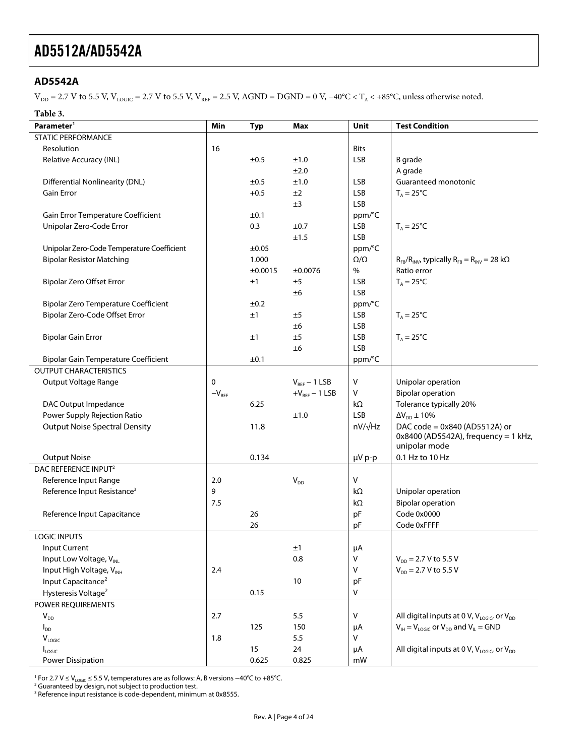#### <span id="page-3-0"></span>**AD5542A**

 $V_{DD} = 2.7$  V to 5.5 V,  $V_{LOGIC} = 2.7$  V to 5.5 V,  $V_{REF} = 2.5$  V,  $AGND = DGND = 0$  V,  $-40^{\circ}C < T_A < +85^{\circ}C$ , unless otherwise noted.

#### **Table 3.**

| Parameter <sup>1</sup>                      | Min                          | <b>Typ</b> | <b>Max</b>        | Unit            | <b>Test Condition</b>                                           |
|---------------------------------------------|------------------------------|------------|-------------------|-----------------|-----------------------------------------------------------------|
| <b>STATIC PERFORMANCE</b>                   |                              |            |                   |                 |                                                                 |
| Resolution                                  | 16                           |            |                   | <b>Bits</b>     |                                                                 |
| Relative Accuracy (INL)                     |                              | ±0.5       | ±1.0              | <b>LSB</b>      | <b>B</b> grade                                                  |
|                                             |                              |            | ±2.0              |                 | A grade                                                         |
| <b>Differential Nonlinearity (DNL)</b>      |                              | ±0.5       | ±1.0              | <b>LSB</b>      | Guaranteed monotonic                                            |
| <b>Gain Error</b>                           |                              | $+0.5$     | ±2                | <b>LSB</b>      | $T_A = 25$ °C                                                   |
|                                             |                              |            | ±3                | <b>LSB</b>      |                                                                 |
| Gain Error Temperature Coefficient          |                              | ±0.1       |                   | ppm/°C          |                                                                 |
| Unipolar Zero-Code Error                    |                              | 0.3        | ±0.7              | <b>LSB</b>      | $T_A = 25^{\circ}C$                                             |
|                                             |                              |            | ±1.5              | <b>LSB</b>      |                                                                 |
| Unipolar Zero-Code Temperature Coefficient  |                              | ±0.05      |                   | ppm/°C          |                                                                 |
| <b>Bipolar Resistor Matching</b>            |                              | 1.000      |                   | $\Omega/\Omega$ | $R_{FB}/R_{INV}$ , typically $R_{FB} = R_{INV} = 28$ k $\Omega$ |
|                                             |                              | ±0.0015    | ±0.0076           | %               | Ratio error                                                     |
| Bipolar Zero Offset Error                   |                              | ±1         | ±5                | LSB             | $T_A = 25^{\circ}C$                                             |
|                                             |                              |            | ±6                | <b>LSB</b>      |                                                                 |
| <b>Bipolar Zero Temperature Coefficient</b> |                              | ±0.2       |                   | ppm/°C          |                                                                 |
| Bipolar Zero-Code Offset Error              |                              | ±1         | ±5                | <b>LSB</b>      | $T_A = 25^{\circ}C$                                             |
|                                             |                              |            | ±6                | <b>LSB</b>      |                                                                 |
| <b>Bipolar Gain Error</b>                   |                              | ±1         | ±5                | <b>LSB</b>      | $T_A = 25^{\circ}C$                                             |
|                                             |                              |            | ±6                | <b>LSB</b>      |                                                                 |
| <b>Bipolar Gain Temperature Coefficient</b> |                              | $\pm 0.1$  |                   | ppm/°C          |                                                                 |
| <b>OUTPUT CHARACTERISTICS</b>               |                              |            |                   |                 |                                                                 |
| Output Voltage Range                        | 0                            |            | $V_{REF}$ – 1 LSB | $\vee$          | Unipolar operation                                              |
|                                             | $-\mathsf{V}_{\mathsf{REF}}$ |            | $+V_{REF}-1$ LSB  | V               | <b>Bipolar operation</b>                                        |
| DAC Output Impedance                        |                              | 6.25       |                   | kΩ              | Tolerance typically 20%                                         |
| Power Supply Rejection Ratio                |                              |            | ±1.0              | <b>LSB</b>      | $\Delta V_{DD} \pm 10\%$                                        |
| <b>Output Noise Spectral Density</b>        |                              | 11.8       |                   | $nV/\sqrt{Hz}$  | DAC code = 0x840 (AD5512A) or                                   |
|                                             |                              |            |                   |                 | $0x8400$ (AD5542A), frequency = 1 kHz,                          |
|                                             |                              |            |                   |                 | unipolar mode                                                   |
| <b>Output Noise</b>                         |                              | 0.134      |                   | µV p-p          | 0.1 Hz to 10 Hz                                                 |
| DAC REFERENCE INPUT <sup>2</sup>            |                              |            |                   |                 |                                                                 |
| Reference Input Range                       | 2.0                          |            | $V_{DD}$          | ${\sf V}$       |                                                                 |
| Reference Input Resistance <sup>3</sup>     | 9                            |            |                   | $k\Omega$       | Unipolar operation                                              |
|                                             | 7.5                          |            |                   | kΩ              | <b>Bipolar operation</b>                                        |
| Reference Input Capacitance                 |                              | 26         |                   | pF              | Code 0x0000                                                     |
|                                             |                              | 26         |                   | pF              | Code 0xFFFF                                                     |
| <b>LOGIC INPUTS</b>                         |                              |            |                   |                 |                                                                 |
| Input Current                               |                              |            | ±1                | μA              |                                                                 |
| Input Low Voltage, V <sub>INI</sub>         |                              |            | 0.8               | $\sf V$         | $V_{DD}$ = 2.7 V to 5.5 V                                       |
| Input High Voltage, VINH                    | 2.4                          |            |                   | $\vee$          | $V_{DD}$ = 2.7 V to 5.5 V                                       |
| Input Capacitance <sup>2</sup>              |                              |            | 10                | pF              |                                                                 |
| Hysteresis Voltage <sup>2</sup>             |                              | 0.15       |                   | V               |                                                                 |
| POWER REQUIREMENTS                          |                              |            |                   |                 |                                                                 |
| $V_{DD}$                                    | 2.7                          |            | 5.5               | V               | All digital inputs at 0 V, $V_{LOGIC}$ or $V_{DD}$              |
| $I_{DD}$                                    |                              | 125        | 150               | μA              | $V_{IH} = V_{LOGIC}$ or $V_{DD}$ and $V_{IL} = GND$             |
| $V_{LOGIC}$                                 | 1.8                          |            | 5.5               | V               |                                                                 |
| Logic                                       |                              | 15         | 24                | μA              | All digital inputs at 0 V, $V_{LOGIC}$ or $V_{DD}$              |
| <b>Power Dissipation</b>                    |                              | 0.625      | 0.825             | mW              |                                                                 |

<sup>1</sup> For 2.7 V ≤ V<sub>LOGIC</sub> ≤ 5.5 V, temperatures are as follows: A, B versions −40℃ to +85℃.<br><sup>2</sup> Guaranteed by design, not subject to production test.

 $3$  Reference input resistance is code-dependent, minimum at 0x8555.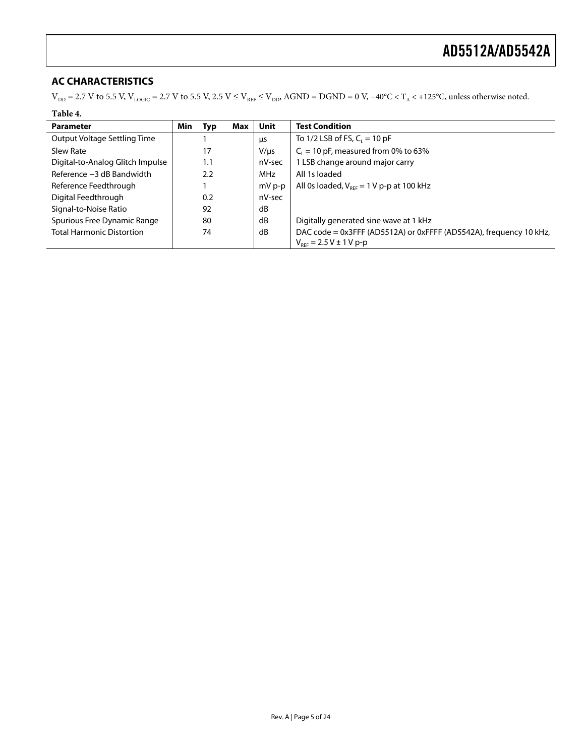### <span id="page-4-0"></span>**AC CHARACTERISTICS**

 $V_{DD}$  = 2.7 V to 5.5 V,  $V_{LOGIC}$  = 2.7 V to 5.5 V, 2.5 V ≤  $V_{REF}$  ≤  $V_{DD}$ , AGND = DGND = 0 V, −40°C < T<sub>A</sub> < +125°C, unless otherwise noted.

| Min | Typ | Max | Unit       | <b>Test Condition</b>                                                                                        |
|-----|-----|-----|------------|--------------------------------------------------------------------------------------------------------------|
|     |     |     | μs         | To 1/2 LSB of FS, $C_1 = 10$ pF                                                                              |
|     | 17  |     | $V/\mu s$  | $C_1 = 10$ pF, measured from 0% to 63%                                                                       |
|     | 1.1 |     | nV-sec     | 1 LSB change around major carry                                                                              |
|     | 2.2 |     | <b>MHz</b> | All 1s loaded                                                                                                |
|     |     |     | $mVp-p$    | All 0s loaded, $V_{\text{ref}} = 1 \text{ V p-p at } 100 \text{ kHz}$                                        |
|     | 0.2 |     | nV-sec     |                                                                                                              |
|     | 92  |     | dB         |                                                                                                              |
|     | 80  |     | dB         | Digitally generated sine wave at 1 kHz                                                                       |
|     | 74  |     | dB         | DAC code = 0x3FFF (AD5512A) or 0xFFFF (AD5542A), frequency 10 kHz,<br>$V_{\text{per}} = 2.5 V \pm 1 V p - p$ |
|     |     |     |            |                                                                                                              |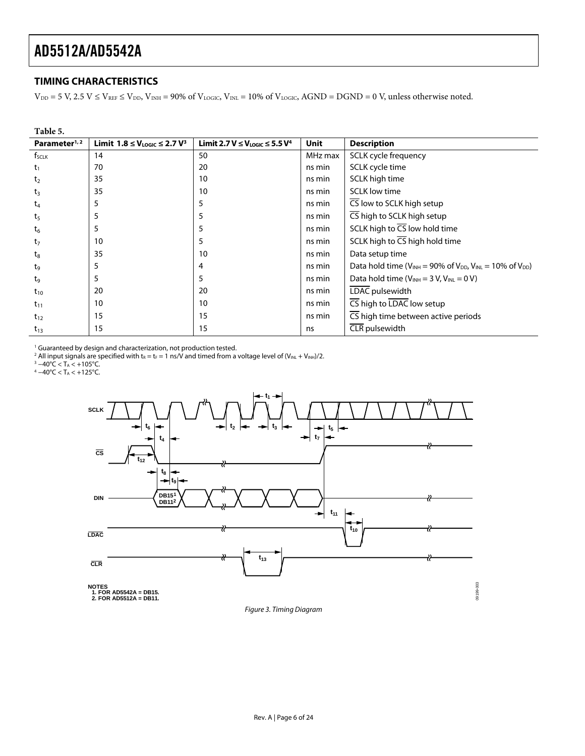#### <span id="page-5-0"></span>**TIMING CHARACTERISTICS**

 $V_{DD} = 5$  V,  $2.5$  V  $\le$  V<sub>REF</sub>  $\le$  V<sub>DD</sub>, V<sub>INH</sub> = 90% of V<sub>LOGIC</sub>, V<sub>INL</sub> = 10% of V<sub>LOGIC</sub>, AGND = DGND = 0 V, unless otherwise noted.

| Table 5.                 |                                                |                                           |             |                                                                              |
|--------------------------|------------------------------------------------|-------------------------------------------|-------------|------------------------------------------------------------------------------|
| Parameter <sup>1,2</sup> | Limit $1.8 \leq V_{\text{LOGIC}} \leq 2.7 V^3$ | Limit 2.7 $V \leq V_{LOGIC} \leq 5.5 V^4$ | <b>Unit</b> | <b>Description</b>                                                           |
| f <sub>SCLK</sub>        | 14                                             | 50                                        | MHz max     | SCLK cycle frequency                                                         |
| $\tau_1$                 | 70                                             | 20                                        | ns min      | SCLK cycle time                                                              |
| t <sub>2</sub>           | 35                                             | 10                                        | ns min      | SCLK high time                                                               |
| $t_3$                    | 35                                             | 10                                        | ns min      | <b>SCLK low time</b>                                                         |
| t <sub>4</sub>           | 5                                              | 5                                         | ns min      | CS low to SCLK high setup                                                    |
| t <sub>5</sub>           | 5                                              | 5                                         | ns min      | CS high to SCLK high setup                                                   |
| $t_6$                    | 5                                              | 5                                         | ns min      | SCLK high to CS low hold time                                                |
| $t_7$                    | 10                                             | 5                                         | ns min      | SCLK high to $\overline{CS}$ high hold time                                  |
| $t_8$                    | 35                                             | 10                                        | ns min      | Data setup time                                                              |
| tg                       | 5                                              | 4                                         | ns min      | Data hold time ( $V_{INH}$ = 90% of $V_{DD}$ , $V_{INL}$ = 10% of $V_{DD}$ ) |
| tg                       | 5                                              | 5                                         | ns min      | Data hold time ( $V_{INH}$ = 3 V, $V_{INL}$ = 0 V)                           |
| $t_{10}$                 | 20                                             | 20                                        | ns min      | LDAC pulsewidth                                                              |
| $t_{11}$                 | 10                                             | 10                                        | ns min      | $\overline{\mathsf{CS}}$ high to LDAC low setup                              |
| $t_{12}$                 | 15                                             | 15                                        | ns min      | CS high time between active periods                                          |
| $t_{13}$                 | 15                                             | 15                                        | ns          | CLR pulsewidth                                                               |

<sup>1</sup> Guaranteed by design and characterization, not production tested.<br><sup>2</sup> All input signals are specified with t<sub>R</sub> = t<sub>F</sub> = 1 ns/V and timed from a voltage level of (V<sub>INL</sub> + V<sub>INH</sub>)/2.<br><sup>3</sup> –40°C < T, < +105°C

<sup>3</sup> −40°C < T<sub>A</sub> < +105°C.<br><sup>4</sup> −40°C < T<sub>A</sub> < +125°C.



<span id="page-5-1"></span>Figure 3. Timing Diagram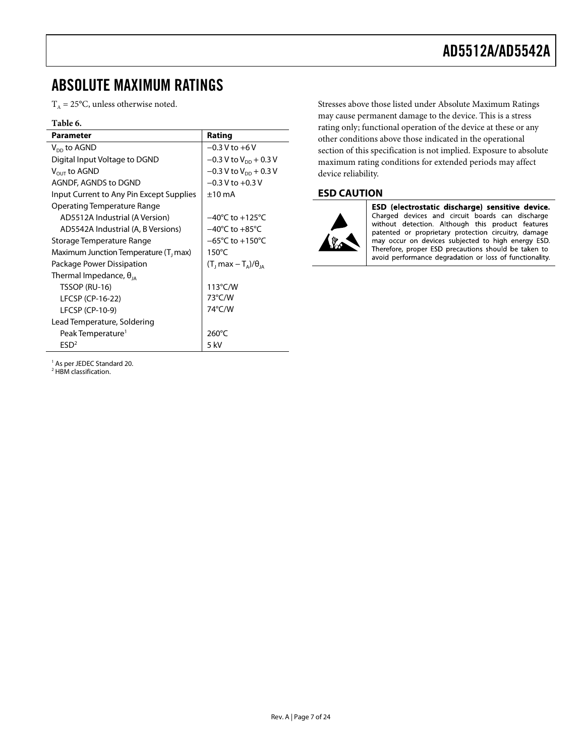### <span id="page-6-0"></span>ABSOLUTE MAXIMUM RATINGS

 $T_A = 25$ °C, unless otherwise noted.

#### **Table 6.**

| Parameter                                 | Rating                               |
|-------------------------------------------|--------------------------------------|
| $V_{DD}$ to AGND                          | $-0.3 V$ to $+6V$                    |
| Digital Input Voltage to DGND             | $-0.3$ V to V <sub>pp</sub> + 0.3 V  |
| $V_{\text{out}}$ to AGND                  | $-0.3$ V to V <sub>pp</sub> + 0.3 V  |
| AGNDF, AGNDS to DGND                      | $-0.3$ V to $+0.3$ V                 |
| Input Current to Any Pin Except Supplies  | $±10$ mA                             |
| <b>Operating Temperature Range</b>        |                                      |
| AD5512A Industrial (A Version)            | $-40^{\circ}$ C to $+125^{\circ}$ C  |
| AD5542A Industrial (A, B Versions)        | $-40^{\circ}$ C to $+85^{\circ}$ C   |
| Storage Temperature Range                 | $-65^{\circ}$ C to $+150^{\circ}$ C  |
| Maximum Junction Temperature ( $T_1$ max) | $150^{\circ}$ C                      |
| Package Power Dissipation                 | $(T_1 \text{max} - T_4)/\theta_{14}$ |
| Thermal Impedance, $\theta_{14}$          |                                      |
| TSSOP (RU-16)                             | $113^{\circ}$ C/W                    |
| LFCSP (CP-16-22)                          | 73°C/W                               |
| LFCSP (CP-10-9)                           | 74°C/W                               |
| Lead Temperature, Soldering               |                                      |
| Peak Temperature <sup>1</sup>             | $260^{\circ}$ C                      |
| ESD <sup>2</sup>                          | 5 kV                                 |

Stresses above those listed under Absolute Maximum Ratings may cause permanent damage to the device. This is a stress rating only; functional operation of the device at these or any other conditions above those indicated in the operational section of this specification is not implied. Exposure to absolute maximum rating conditions for extended periods may affect device reliability.

#### <span id="page-6-1"></span>**ESD CAUTION**



ESD (electrostatic discharge) sensitive device.<br>Charged devices and circuit boards can discharge without detection. Although this product features patented or proprietary protection circuitry, damage<br>may occur on devices subjected to high energy ESD. Therefore, proper ESD precautions should be taken to avoid performance degradation or loss of functionality.

<sup>1</sup> As per JEDEC Standard 20.

<sup>2</sup> HBM classification.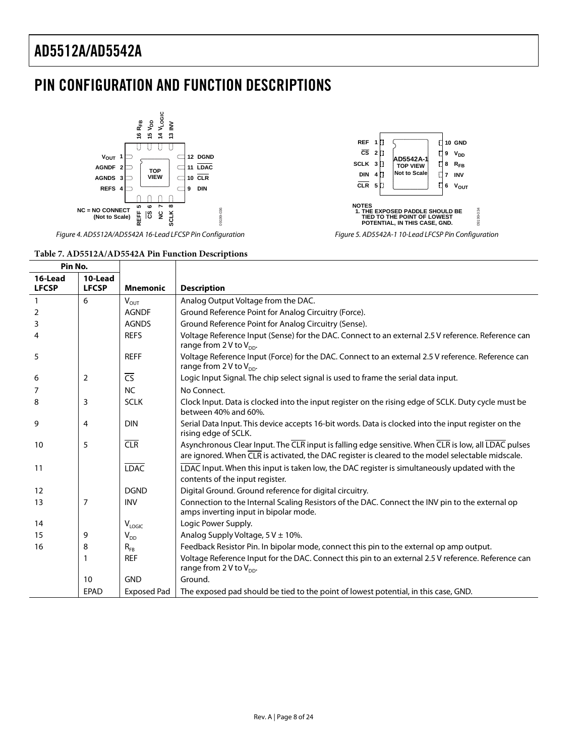## <span id="page-7-0"></span>PIN CONFIGURATION AND FUNCTION DESCRIPTIONS





*Figure 4. AD5512A/AD5542A 16-Lead LFCSP Pin Configuration*

#### *Figure 5. AD5542A-1 10-Lead LFCSP Pin Configuration*

#### **Table 7. AD5512A/AD5542A Pin Function Descriptions**

| Pin No.           |                |                          |                                                                                                                                                                                                                       |
|-------------------|----------------|--------------------------|-----------------------------------------------------------------------------------------------------------------------------------------------------------------------------------------------------------------------|
| 16-Lead           | 10-Lead        |                          |                                                                                                                                                                                                                       |
| <b>LFCSP</b>      | <b>LFCSP</b>   | <b>Mnemonic</b>          | <b>Description</b>                                                                                                                                                                                                    |
| $\mathbf{1}$      | 6              | $V_{OUT}$                | Analog Output Voltage from the DAC.                                                                                                                                                                                   |
| 2                 |                | <b>AGNDF</b>             | Ground Reference Point for Analog Circuitry (Force).                                                                                                                                                                  |
| 3                 |                | <b>AGNDS</b>             | Ground Reference Point for Analog Circuitry (Sense).                                                                                                                                                                  |
| 4                 |                | <b>REFS</b>              | Voltage Reference Input (Sense) for the DAC. Connect to an external 2.5 V reference. Reference can<br>range from 2 V to $V_{\text{no}}$ .                                                                             |
| 5                 |                | <b>REFF</b>              | Voltage Reference Input (Force) for the DAC. Connect to an external 2.5 V reference. Reference can<br>range from 2 V to $V_{DD}$ .                                                                                    |
| 6                 | $\overline{2}$ | $\overline{\mathsf{CS}}$ | Logic Input Signal. The chip select signal is used to frame the serial data input.                                                                                                                                    |
| 7                 |                | <b>NC</b>                | No Connect.                                                                                                                                                                                                           |
| 8                 | 3              | <b>SCLK</b>              | Clock Input. Data is clocked into the input register on the rising edge of SCLK. Duty cycle must be<br>between 40% and 60%.                                                                                           |
| 9                 | 4              | <b>DIN</b>               | Serial Data Input. This device accepts 16-bit words. Data is clocked into the input register on the<br>rising edge of SCLK.                                                                                           |
| 10                | 5              | <b>CLR</b>               | Asynchronous Clear Input. The CLR input is falling edge sensitive. When CLR is low, all LDAC pulses<br>are ignored. When $\overline{CLR}$ is activated, the DAC register is cleared to the model selectable midscale. |
| 11                |                | <b>LDAC</b>              | LDAC Input. When this input is taken low, the DAC register is simultaneously updated with the<br>contents of the input register.                                                                                      |
| $12 \overline{ }$ |                | <b>DGND</b>              | Digital Ground. Ground reference for digital circuitry.                                                                                                                                                               |
| 13                | 7              | <b>INV</b>               | Connection to the Internal Scaling Resistors of the DAC. Connect the INV pin to the external op<br>amps inverting input in bipolar mode.                                                                              |
| 14                |                | $V_{\text{LOGIC}}$       | Logic Power Supply.                                                                                                                                                                                                   |
| 15                | 9              | $V_{DD}$                 | Analog Supply Voltage, $5V \pm 10\%$ .                                                                                                                                                                                |
| 16                | 8              | $R_{FB}$                 | Feedback Resistor Pin. In bipolar mode, connect this pin to the external op amp output.                                                                                                                               |
|                   | 1              | <b>REF</b>               | Voltage Reference Input for the DAC. Connect this pin to an external 2.5 V reference. Reference can<br>range from 2 V to $V_{DD}$ .                                                                                   |
|                   | 10             | <b>GND</b>               | Ground.                                                                                                                                                                                                               |
|                   | EPAD           | <b>Exposed Pad</b>       | The exposed pad should be tied to the point of lowest potential, in this case, GND.                                                                                                                                   |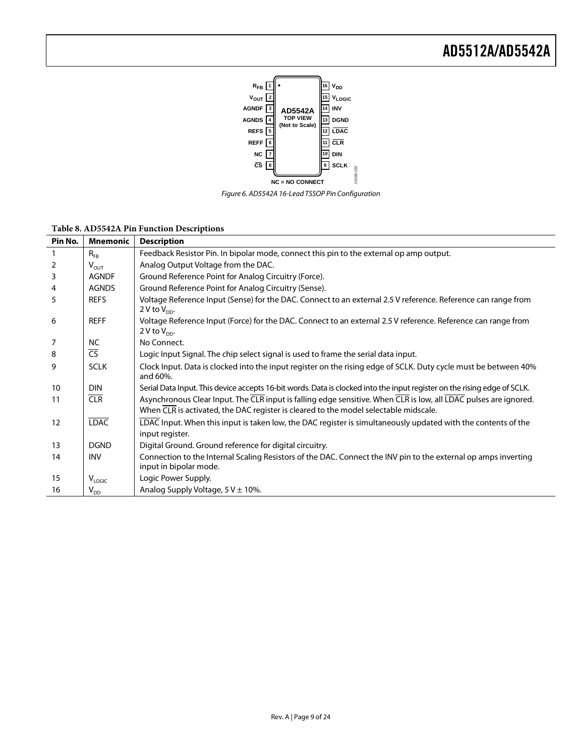

*Figure 6. AD5542A 16-Lead TSSOP Pin Configuration*

| Pin No. | <b>Mnemonic</b>        | <b>Description</b>                                                                                                                                                                                                                              |
|---------|------------------------|-------------------------------------------------------------------------------------------------------------------------------------------------------------------------------------------------------------------------------------------------|
|         | $R_{FB}$               | Feedback Resistor Pin. In bipolar mode, connect this pin to the external op amp output.                                                                                                                                                         |
| 2       | $V_{OUT}$              | Analog Output Voltage from the DAC.                                                                                                                                                                                                             |
| 3       | <b>AGNDF</b>           | Ground Reference Point for Analog Circuitry (Force).                                                                                                                                                                                            |
| 4       | <b>AGNDS</b>           | Ground Reference Point for Analog Circuitry (Sense).                                                                                                                                                                                            |
| 5       | <b>REFS</b>            | Voltage Reference Input (Sense) for the DAC. Connect to an external 2.5 V reference. Reference can range from<br>2 V to $V_{DD}$ .                                                                                                              |
| 6       | <b>REFF</b>            | Voltage Reference Input (Force) for the DAC. Connect to an external 2.5 V reference. Reference can range from<br>2 V to $V_{DD}$ .                                                                                                              |
| 7       | NC                     | No Connect.                                                                                                                                                                                                                                     |
| 8       | $\overline{\text{CS}}$ | Logic Input Signal. The chip select signal is used to frame the serial data input.                                                                                                                                                              |
| 9       | <b>SCLK</b>            | Clock Input. Data is clocked into the input register on the rising edge of SCLK. Duty cycle must be between 40%<br>and 60%.                                                                                                                     |
| 10      | <b>DIN</b>             | Serial Data Input. This device accepts 16-bit words. Data is clocked into the input register on the rising edge of SCLK.                                                                                                                        |
| 11      | CLR                    | Asynchronous Clear Input. The $\overline{CLR}$ input is falling edge sensitive. When $\overline{CLR}$ is low, all $\overline{LDAC}$ pulses are ignored.<br>When CLR is activated, the DAC register is cleared to the model selectable midscale. |
| 12      | <b>LDAC</b>            | LDAC Input. When this input is taken low, the DAC register is simultaneously updated with the contents of the<br>input register.                                                                                                                |
| 13      | <b>DGND</b>            | Digital Ground. Ground reference for digital circuitry.                                                                                                                                                                                         |
| 14      | <b>INV</b>             | Connection to the Internal Scaling Resistors of the DAC. Connect the INV pin to the external op amps inverting<br>input in bipolar mode.                                                                                                        |
| 15      | $V_{LOGIC}$            | Logic Power Supply.                                                                                                                                                                                                                             |
| 16      | $V_{DD}$               | Analog Supply Voltage, $5V \pm 10\%$ .                                                                                                                                                                                                          |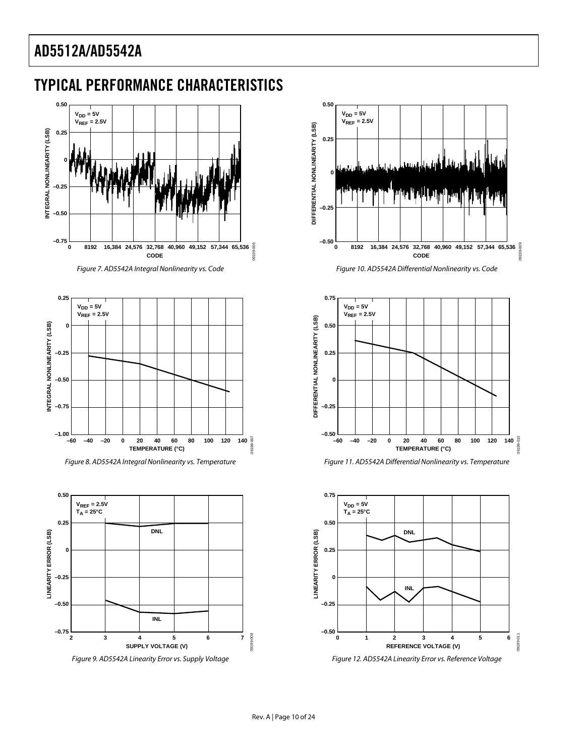## <span id="page-9-0"></span>TYPICAL PERFORMANCE CHARACTERISTICS





<span id="page-9-1"></span>

*Figure 8. AD5542A Integral Nonlinearity vs. Temperature*







<span id="page-9-2"></span>



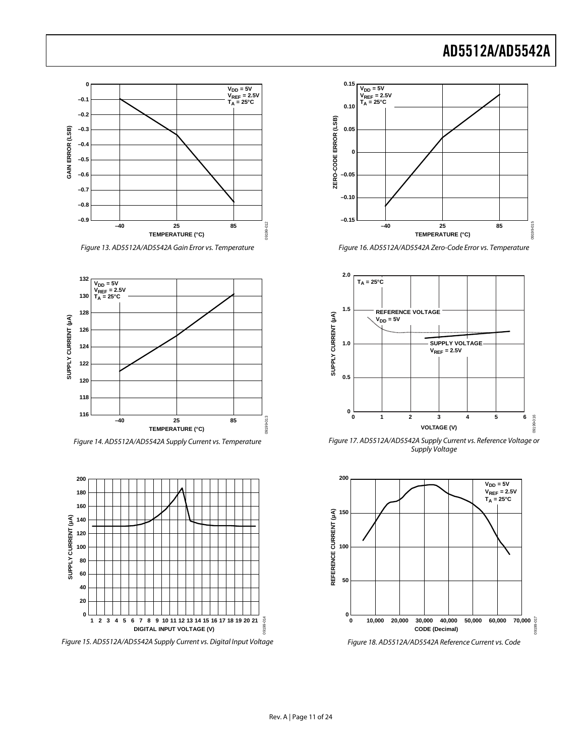

*Figure 13. AD5512A/AD5542A Gain Error vs. Temperature*



*Figure 14. AD5512A/AD5542A Supply Current vs. Temperature*



*Figure 15. AD5512A/AD5542A Supply Current vs. Digital Input Voltage*



*Figure 16. AD5512A/AD5542A Zero-Code Error vs. Temperature*



*Figure 17. AD5512A/AD5542A Supply Current vs. Reference Voltage or Supply Voltage*



*Figure 18. AD5512A/AD5542A Reference Current vs. Code*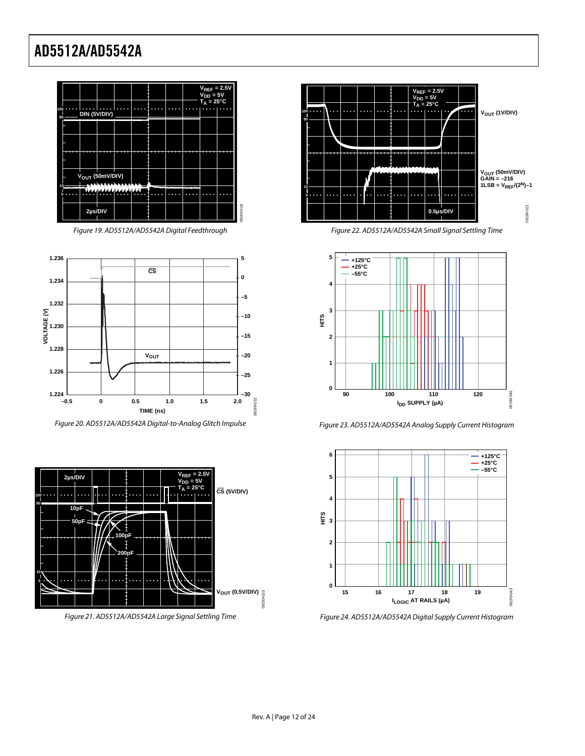

*Figure 19. AD5512A/AD5542A Digital Feedthrough*

<span id="page-11-1"></span>

<span id="page-11-0"></span>*Figure 20. AD5512A/AD5542A Digital-to-Analog Glitch Impulse*



*Figure 21. AD5512A/AD5542A Large Signal Settling Time*



*Figure 22. AD5512A/AD5542A Small Signal Settling Time*



*Figure 23. AD5512A/AD5542A Analog Supply Current Histogram*



*Figure 24. AD5512A/AD5542A Digital Supply Current Histogram*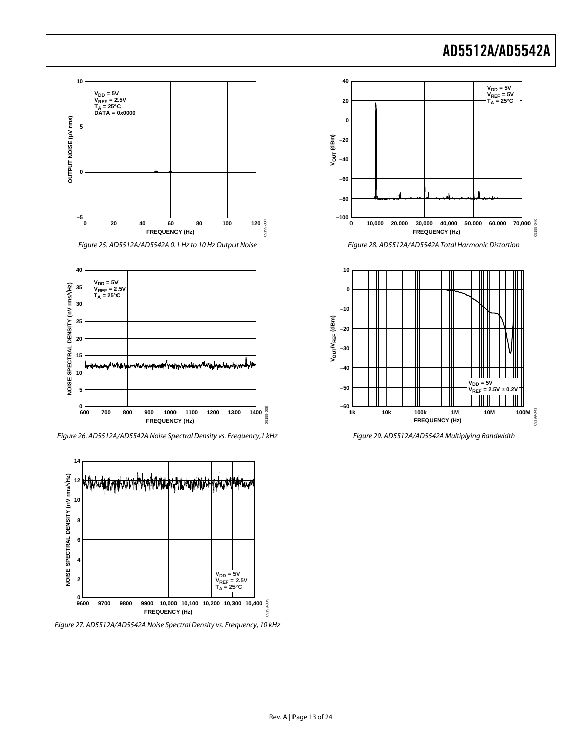



*Figure 26. AD5512A/AD5542A Noise Spectral Density vs. Frequency,1 kHz* 



*Figure 27. AD5512A/AD5542A Noise Spectral Density vs. Frequency, 10 kHz*



*Figure 28. AD5512A/AD5542A Total Harmonic Distortion* 



*Figure 29. AD5512A/AD5542A Multiplying Bandwidth*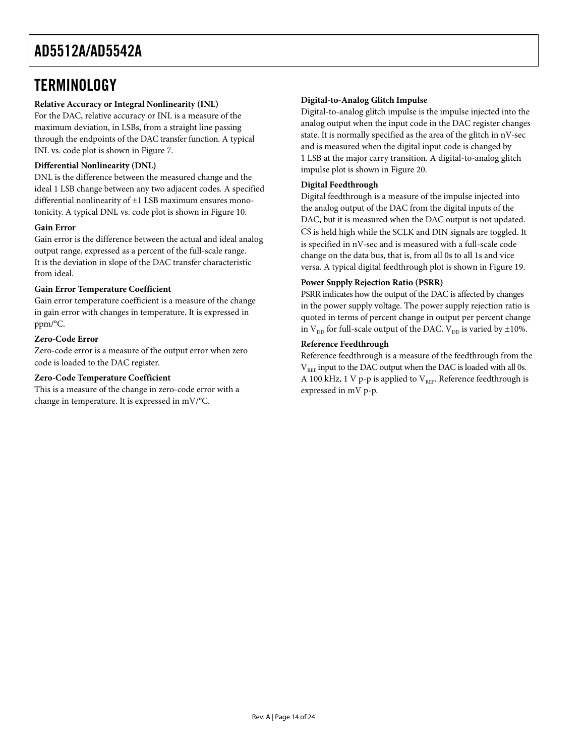### <span id="page-13-0"></span>**TERMINOLOGY**

#### **Relative Accuracy or Integral Nonlinearity (INL)**

For the DAC, relative accuracy or INL is a measure of the maximum deviation, in LSBs, from a straight line passing through the endpoints of the DAC transfer function. A typical INL vs. code plot is shown in [Figure 7.](#page-9-1)

#### **Differential Nonlinearity (DNL)**

DNL is the difference between the measured change and the ideal 1 LSB change between any two adjacent codes. A specified differential nonlinearity of ±1 LSB maximum ensures monotonicity. A typical DNL vs. code plot is shown i[n Figure 10.](#page-9-2)

#### **Gain Error**

Gain error is the difference between the actual and ideal analog output range, expressed as a percent of the full-scale range. It is the deviation in slope of the DAC transfer characteristic from ideal.

#### **Gain Error Temperature Coefficient**

Gain error temperature coefficient is a measure of the change in gain error with changes in temperature. It is expressed in ppm/°C.

#### **Zero-Code Error**

Zero-code error is a measure of the output error when zero code is loaded to the DAC register.

#### **Zero-Code Temperature Coefficient**

This is a measure of the change in zero-code error with a change in temperature. It is expressed in mV/°C.

#### **Digital-to-Analog Glitch Impulse**

Digital-to-analog glitch impulse is the impulse injected into the analog output when the input code in the DAC register changes state. It is normally specified as the area of the glitch in nV-sec and is measured when the digital input code is changed by 1 LSB at the major carry transition. A digital-to-analog glitch impulse plot is shown i[n Figure 20.](#page-11-0)

#### **Digital Feedthrough**

Digital feedthrough is a measure of the impulse injected into the analog output of the DAC from the digital inputs of the DAC, but it is measured when the DAC output is not updated. CS is held high while the SCLK and DIN signals are toggled. It is specified in nV-sec and is measured with a full-scale code change on the data bus, that is, from all 0s to all 1s and vice versa. A typical digital feedthrough plot is shown in [Figure](#page-11-1) 19.

#### **Power Supply Rejection Ratio (PSRR)**

PSRR indicates how the output of the DAC is affected by changes in the power supply voltage. The power supply rejection ratio is quoted in terms of percent change in output per percent change in  $\mathrm{V_{\textrm{DD}}}$  for full-scale output of the DAC.  $\mathrm{V_{\textrm{DD}}}$  is varied by  $\pm 10\% .$ 

#### **Reference Feedthrough**

Reference feedthrough is a measure of the feedthrough from the  $V_{REF}$  input to the DAC output when the DAC is loaded with all 0s. A 100 kHz, 1 V p-p is applied to  $V_{RFE}$ . Reference feedthrough is expressed in mV p-p.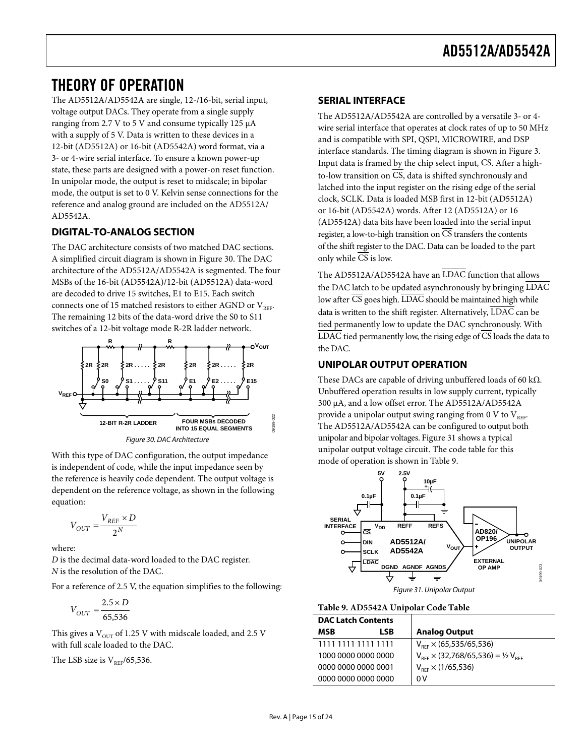### <span id="page-14-0"></span>THEORY OF OPERATION

The AD5512A/AD5542A are single, 12-/16-bit, serial input, voltage output DACs. They operate from a single supply ranging from 2.7 V to 5 V and consume typically 125 µA with a supply of 5 V. Data is written to these devices in a 12-bit (AD5512A) or 16-bit (AD5542A) word format, via a 3- or 4-wire serial interface. To ensure a known power-up state, these parts are designed with a power-on reset function. In unipolar mode, the output is reset to midscale; in bipolar mode, the output is set to 0 V. Kelvin sense connections for the reference and analog ground are included on the AD5512A/ AD5542A.

### <span id="page-14-1"></span>**DIGITAL-TO-ANALOG SECTION**

The DAC architecture consists of two matched DAC sections. A simplified circuit diagram is shown i[n Figure 30.](#page-14-4) The DAC architecture of the AD5512A/AD5542A is segmented. The four MSBs of the 16-bit (AD5542A)/12-bit (AD5512A) data-word are decoded to drive 15 switches, E1 to E15. Each switch connects one of 15 matched resistors to either AGND or  $V_{RFE}$ . The remaining 12 bits of the data-word drive the S0 to S11 switches of a 12-bit voltage mode R-2R ladder network.



*Figure 30. DAC Architecture*

<span id="page-14-4"></span>With this type of DAC configuration, the output impedance is independent of code, while the input impedance seen by the reference is heavily code dependent. The output voltage is dependent on the reference voltage, as shown in the following equation:

$$
V_{OUT} = \frac{V_{REF} \times D}{2^N}
$$

where:

*D* is the decimal data-word loaded to the DAC register. *N* is the resolution of the DAC.

For a reference of 2.5 V, the equation simplifies to the following:

$$
V_{OUT} = \frac{2.5 \times D}{65,536}
$$

This gives a  $V<sub>OUT</sub>$  of 1.25 V with midscale loaded, and 2.5 V with full scale loaded to the DAC.

The LSB size is  $V_{REF}/65,536$ .

#### <span id="page-14-2"></span>**SERIAL INTERFACE**

The AD5512A/AD5542A are controlled by a versatile 3- or 4 wire serial interface that operates at clock rates of up to 50 MHz and is compatible with SPI, QSPI, MICROWIRE, and DSP interface standards. The timing diagram is shown in [Figure 3.](#page-5-1)  Input data is framed by the chip select input, CS. After a highto-low transition on  $\overline{CS}$ , data is shifted synchronously and latched into the input register on the rising edge of the serial clock, SCLK. Data is loaded MSB first in 12-bit (AD5512A) or 16-bit (AD5542A) words. After 12 (AD5512A) or 16 (AD5542A) data bits have been loaded into the serial input register, a low-to-high transition on CS transfers the contents of the shift register to the DAC. Data can be loaded to the part only while  $\overline{CS}$  is low.

The AD5512A/AD5542A have an LDAC function that allows the DAC latch to be updated asynchronously by bringing LDAC low after CS goes high. LDAC should be maintained high while data is written to the shift register. Alternatively, LDAC can be tied permanently low to update the DAC synchronously. With  $\overline{\text{LDAC}}$  tied permanently low, the rising edge of  $\overline{\text{CS}}$  loads the data to the DAC.

#### <span id="page-14-3"></span>**UNIPOLAR OUTPUT OPERATION**

These DACs are capable of driving unbuffered loads of 60 k $\Omega$ . Unbuffered operation results in low supply current, typically 300 μA, and a low offset error. The AD5512A/AD5542A provide a unipolar output swing ranging from 0 V to  $V_{REF}$ . The AD5512A/AD5542A can be configured to output both unipolar and bipolar voltages. [Figure](#page-14-5) 31 shows a typical unipolar output voltage circuit. The code table for this mode of operation is shown i[n Table](#page-14-6) 9.



<span id="page-14-6"></span><span id="page-14-5"></span>**Table 9. AD5542A Unipolar Code Table**

| <b>DAC Latch Contents</b> |     |                                                    |
|---------------------------|-----|----------------------------------------------------|
| <b>MSR</b>                | LSB | <b>Analog Output</b>                               |
| 1111 1111 1111 1111       |     | $V_{REF}$ × (65,535/65,536)                        |
| 1000 0000 0000 0000       |     | $V_{REF}$ $\times$ (32,768/65,536) = 1/2 $V_{REF}$ |
| .0000 0000 0000 0001      |     | $V_{BFE} \times (1/65,536)$                        |
| 0000 0000 0000 0000       |     | 0 V                                                |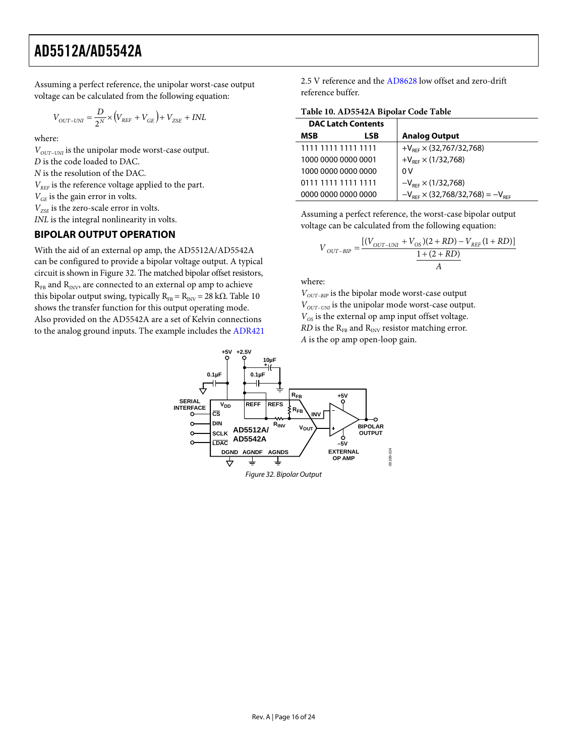Assuming a perfect reference, the unipolar worst-case output voltage can be calculated from the following equation:

$$
V_{OUT-UNI}=\frac{D}{2^N}\times \left(V_{REF}+V_{GE}\right)+V_{ZSE}+INL
$$

where:

*V*<sub>OUT−UNI</sub> is the unipolar mode worst-case output. *D* is the code loaded to DAC. *N* is the resolution of the DAC.  $V_{RFE}$  is the reference voltage applied to the part.  $V_{GE}$  is the gain error in volts.  $V_{ZSE}$  is the zero-scale error in volts.

*INL* is the integral nonlinearity in volts.

#### <span id="page-15-0"></span>**BIPOLAR OUTPUT OPERATION**

With the aid of an external op amp, the AD5512A/AD5542A can be configured to provide a bipolar voltage output. A typical circuit is shown i[n Figure 32.](#page-15-1) The matched bipolar offset resistors,  $R_{FB}$  and  $R_{INV}$ , are connected to an external op amp to achieve this bipolar output swing, typically  $R_{FB} = R_{INV} = 28$  kΩ. [Table 10](#page-15-2) shows the transfer function for this output operating mode. Also provided on the AD5542A are a set of Kelvin connections to the analog ground inputs. The example includes the [ADR421](http://www.analog.com/ADR421) 2.5 V reference and the [AD8628](http://www.analog.com/AD8628) low offset and zero-drift reference buffer.

<span id="page-15-2"></span>**Table 10. AD5542A Bipolar Code Table**

| <b>DAC Latch Contents</b> |     |                                              |
|---------------------------|-----|----------------------------------------------|
| MSB                       | LSB | <b>Analog Output</b>                         |
| 1111 1111 1111 1111       |     | $+V_{RFF} \times (32,767/32,768)$            |
| 1000 0000 0000 0001       |     | $+V_{RFF} \times (1/32,768)$                 |
| 1000 0000 0000 0000       |     | 0V                                           |
| 0111 1111 1111 1111       |     | $-V_{\text{RFF}} \times (1/32,768)$          |
| 0000 0000 0000 0000       |     | $-V_{BFF} \times (32,768/32,768) = -V_{BFF}$ |

Assuming a perfect reference, the worst-case bipolar output voltage can be calculated from the following equation:

$$
V_{OUT-BIP} = \frac{[(V_{OUT-UNI} + V_{OS})(2 + RD) - V_{REF}(1 + RD)]}{\frac{1 + (2 + RD)}{A}}
$$

where:

*V*<sub>OUT−BIP</sub> is the bipolar mode worst-case output *V*<sub>OUT−UNI</sub> is the unipolar mode worst-case output.  $V_{OS}$  is the external op amp input offset voltage.  $RD$  is the  $R_{FB}$  and  $R_{INV}$  resistor matching error. *A* is the op amp open-loop gain.

<span id="page-15-1"></span>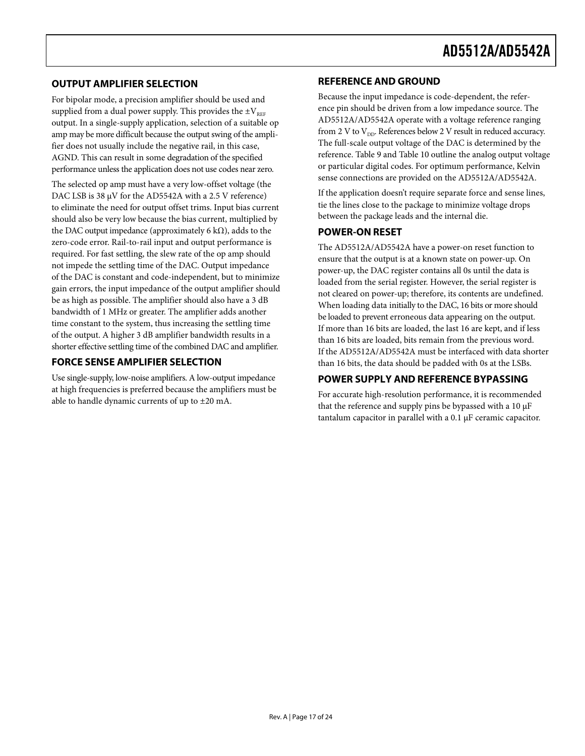#### <span id="page-16-0"></span>**OUTPUT AMPLIFIER SELECTION**

For bipolar mode, a precision amplifier should be used and supplied from a dual power supply. This provides the  $\pm V_{REF}$ output. In a single-supply application, selection of a suitable op amp may be more difficult because the output swing of the amplifier does not usually include the negative rail, in this case, AGND. This can result in some degradation of the specified performance unless the application does not use codes near zero.

The selected op amp must have a very low-offset voltage (the DAC LSB is 38 μV for the AD5542A with a 2.5 V reference) to eliminate the need for output offset trims. Input bias current should also be very low because the bias current, multiplied by the DAC output impedance (approximately 6 k $\Omega$ ), adds to the zero-code error. Rail-to-rail input and output performance is required. For fast settling, the slew rate of the op amp should not impede the settling time of the DAC. Output impedance of the DAC is constant and code-independent, but to minimize gain errors, the input impedance of the output amplifier should be as high as possible. The amplifier should also have a 3 dB bandwidth of 1 MHz or greater. The amplifier adds another time constant to the system, thus increasing the settling time of the output. A higher 3 dB amplifier bandwidth results in a shorter effective settling time of the combined DAC and amplifier.

### <span id="page-16-1"></span>**FORCE SENSE AMPLIFIER SELECTION**

Use single-supply, low-noise amplifiers. A low-output impedance at high frequencies is preferred because the amplifiers must be able to handle dynamic currents of up to ±20 mA.

#### <span id="page-16-2"></span>**REFERENCE AND GROUND**

Because the input impedance is code-dependent, the reference pin should be driven from a low impedance source. The AD5512A/AD5542A operate with a voltage reference ranging from 2 V to  $V_{DD}$ . References below 2 V result in reduced accuracy. The full-scale output voltage of the DAC is determined by the reference. [Table](#page-14-6) 9 an[d Table 10](#page-15-2) outline the analog output voltage or particular digital codes. For optimum performance, Kelvin sense connections are provided on the AD5512A/AD5542A.

If the application doesn't require separate force and sense lines, tie the lines close to the package to minimize voltage drops between the package leads and the internal die.

#### <span id="page-16-3"></span>**POWER-ON RESET**

The AD5512A/AD5542A have a power-on reset function to ensure that the output is at a known state on power-up. On power-up, the DAC register contains all 0s until the data is loaded from the serial register. However, the serial register is not cleared on power-up; therefore, its contents are undefined. When loading data initially to the DAC, 16 bits or more should be loaded to prevent erroneous data appearing on the output. If more than 16 bits are loaded, the last 16 are kept, and if less than 16 bits are loaded, bits remain from the previous word. If the AD5512A/AD5542A must be interfaced with data shorter than 16 bits, the data should be padded with 0s at the LSBs.

### <span id="page-16-4"></span>**POWER SUPPLY AND REFERENCE BYPASSING**

For accurate high-resolution performance, it is recommended that the reference and supply pins be bypassed with a 10 μF tantalum capacitor in parallel with a 0.1 μF ceramic capacitor.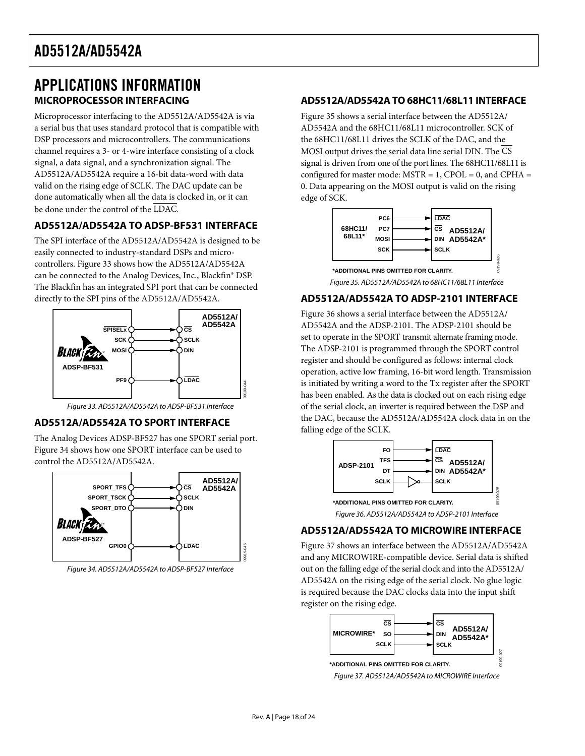### <span id="page-17-0"></span>APPLICATIONS INFORMATION **MICROPROCESSOR INTERFACING**

<span id="page-17-1"></span>Microprocessor interfacing to the AD5512A/AD5542A is via a serial bus that uses standard protocol that is compatible with DSP processors and microcontrollers. The communications channel requires a 3- or 4-wire interface consisting of a clock signal, a data signal, and a synchronization signal. The AD5512A/AD5542A require a 16-bit data-word with data valid on the rising edge of SCLK. The DAC update can be done automatically when all the data is clocked in, or it can be done under the control of the LDAC.

### <span id="page-17-2"></span>**AD5512A/AD5542A TO ADSP-BF531 INTERFACE**

The SPI interface of the AD5512A/AD5542A is designed to be easily connected to industry-standard DSPs and microcontrollers. [Figure 33](#page-17-7) shows how the AD5512A/AD5542A can be connected to the Analog Devices, Inc., Blackfin® DSP. The Blackfin has an integrated SPI port that can be connected directly to the SPI pins of the AD5512A/AD5542A.



*Figure 33. AD5512A/AD5542A to ADSP-BF531 Interface*

### <span id="page-17-7"></span><span id="page-17-3"></span>**AD5512A/AD5542A TO SPORT INTERFACE**

The Analog Devices ADSP-BF527 has one SPORT serial port. [Figure 34](#page-17-8) shows how one SPORT interface can be used to control the AD5512A/AD5542A.



<span id="page-17-8"></span>*Figure 34. AD5512A/AD5542A to ADSP-BF527 Interface*

#### <span id="page-17-4"></span>**AD5512A/AD5542ATO 68HC11/68L11 INTERFACE**

[Figure 35](#page-17-9) shows a serial interface between the AD5512A/ AD5542A and the 68HC11/68L11 microcontroller. SCK of the 68HC11/68L11 drives the SCLK of the DAC, and the MOSI output drives the serial data line serial DIN. The CS signal is driven from one of the port lines. The 68HC11/68L11 is configured for master mode:  $MSTR = 1$ ,  $CPOL = 0$ , and  $CPHA =$ 0. Data appearing on the MOSI output is valid on the rising edge of SCK.



#### <span id="page-17-9"></span><span id="page-17-5"></span>**AD5512A/AD5542A TO ADSP-2101 INTERFACE**

[Figure 36](#page-17-10) shows a serial interface between the AD5512A/ AD5542A and the ADSP-2101. The ADSP-2101 should be set to operate in the SPORT transmit alternate framing mode. The ADSP-2101 is programmed through the SPORT control register and should be configured as follows: internal clock operation, active low framing, 16-bit word length. Transmission is initiated by writing a word to the Tx register after the SPORT has been enabled. As the data is clocked out on each rising edge of the serial clock, an inverter is required between the DSP and the DAC, because the AD5512A/AD5542A clock data in on the falling edge of the SCLK.



#### <span id="page-17-10"></span><span id="page-17-6"></span>**AD5512A/AD5542A TO MICROWIRE INTERFACE**

[Figure 37](#page-17-11) shows an interface between the AD5512A/AD5542A and any MICROWIRE-compatible device. Serial data is shifted out on the falling edge of the serial clock and into the AD5512A/ AD5542A on the rising edge of the serial clock. No glue logic is required because the DAC clocks data into the input shift register on the rising edge.

<span id="page-17-11"></span>

09919-045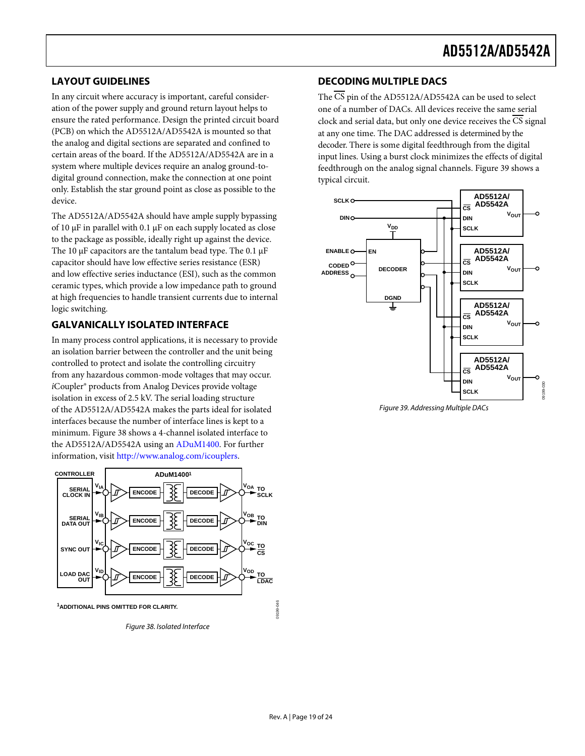### <span id="page-18-0"></span>**LAYOUT GUIDELINES**

In any circuit where accuracy is important, careful consideration of the power supply and ground return layout helps to ensure the rated performance. Design the printed circuit board (PCB) on which the AD5512A/AD5542A is mounted so that the analog and digital sections are separated and confined to certain areas of the board. If the AD5512A/AD5542A are in a system where multiple devices require an analog ground-todigital ground connection, make the connection at one point only. Establish the star ground point as close as possible to the device.

The AD5512A/AD5542A should have ample supply bypassing of 10 μF in parallel with 0.1 μF on each supply located as close to the package as possible, ideally right up against the device. The 10  $\mu$ F capacitors are the tantalum bead type. The 0.1  $\mu$ F capacitor should have low effective series resistance (ESR) and low effective series inductance (ESI), such as the common ceramic types, which provide a low impedance path to ground at high frequencies to handle transient currents due to internal logic switching.

### <span id="page-18-1"></span>**GALVANICALLY ISOLATED INTERFACE**

In many process control applications, it is necessary to provide an isolation barrier between the controller and the unit being controlled to protect and isolate the controlling circuitry from any hazardous common-mode voltages that may occur. *i*Coupler® products from Analog Devices provide voltage isolation in excess of 2.5 kV. The serial loading structure of the AD5512A/AD5542A makes the parts ideal for isolated interfaces because the number of interface lines is kept to a minimum. [Figure 38](#page-18-3) shows a 4-channel isolated interface to the AD5512A/AD5542A using a[n ADuM1400.](http://www.analog.com/ADuM1400) For further information, visit [http://www.analog.com/icouplers.](http://www.analog.com/icouplers) 



<span id="page-18-3"></span>*Figure 38. Isolated Interface*

#### <span id="page-18-2"></span>**DECODING MULTIPLE DACS**

The  $\overline{\text{CS}}$  pin of the AD5512A/AD5542A can be used to select one of a number of DACs. All devices receive the same serial clock and serial data, but only one device receives the CS signal at any one time. The DAC addressed is determined by the decoder. There is some digital feedthrough from the digital input lines. Using a burst clock minimizes the effects of digital feedthrough on the analog signal channels[. Figure 39](#page-18-4) shows a typical circuit.



<span id="page-18-4"></span>*Figure 39. Addressing Multiple DACs*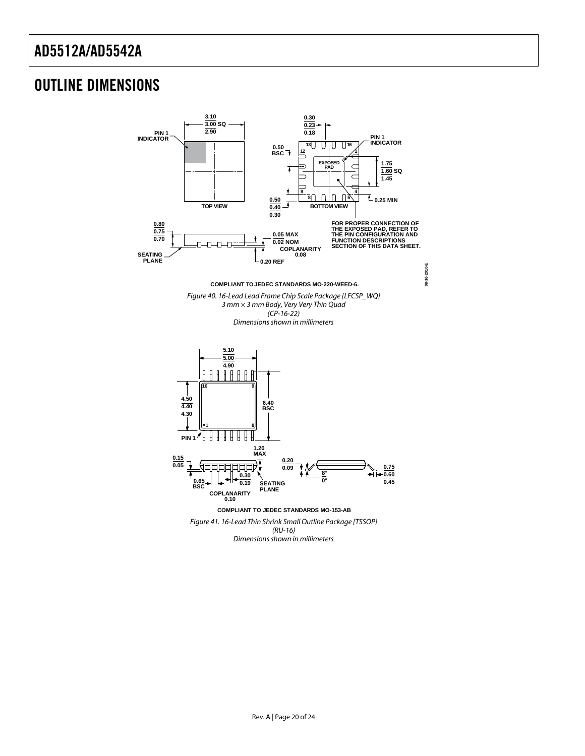### <span id="page-19-0"></span>OUTLINE DIMENSIONS

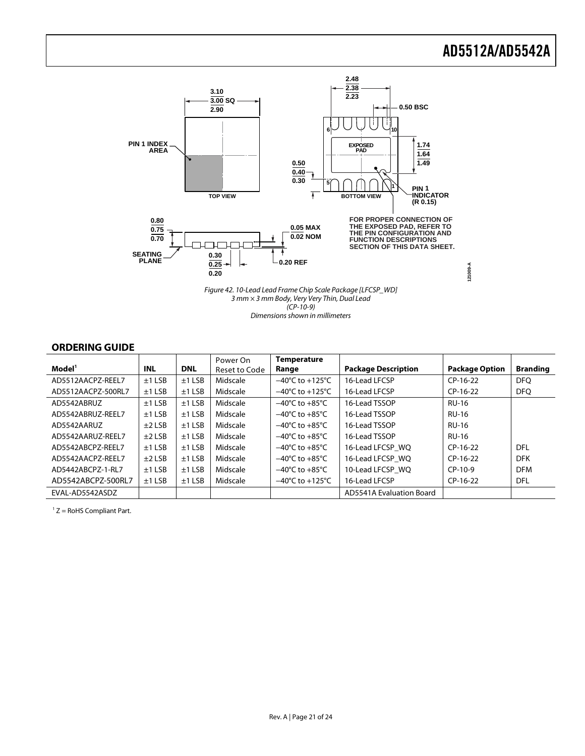

*3 mm × 3 mm Body, Very Very Thin, Dual Lead (CP-10-9) Dimensions shown in millimeters*

#### <span id="page-20-0"></span>**ORDERING GUIDE**

| Model <sup>1</sup> | <b>INL</b> | <b>DNL</b> | Power On<br>Reset to Code | <b>Temperature</b><br>Range         | <b>Package Description</b> | <b>Package Option</b> | <b>Branding</b> |
|--------------------|------------|------------|---------------------------|-------------------------------------|----------------------------|-----------------------|-----------------|
| AD5512AACPZ-REEL7  | $±1$ LSB   | $±1$ LSB   | Midscale                  | $-40^{\circ}$ C to $+125^{\circ}$ C | 16-Lead LFCSP              | $CP-16-22$            | <b>DFO</b>      |
| AD5512AACPZ-500RL7 | $±1$ LSB   | $±1$ LSB   | Midscale                  | $-40^{\circ}$ C to $+125^{\circ}$ C | 16-Lead LFCSP              | $CP-16-22$            | <b>DFQ</b>      |
| AD5542ABRUZ        | $±1$ LSB   | $±1$ LSB   | Midscale                  | $-40^{\circ}$ C to $+85^{\circ}$ C  | 16-Lead TSSOP              | <b>RU-16</b>          |                 |
| AD5542ABRUZ-REEL7  | $±1$ LSB   | $±1$ LSB   | Midscale                  | $-40^{\circ}$ C to $+85^{\circ}$ C  | 16-Lead TSSOP              | <b>RU-16</b>          |                 |
| AD5542AARUZ        | $±2$ LSB   | $±1$ LSB   | Midscale                  | $-40^{\circ}$ C to $+85^{\circ}$ C  | 16-Lead TSSOP              | <b>RU-16</b>          |                 |
| AD5542AARUZ-REEL7  | $±2$ LSB   | $±1$ LSB   | Midscale                  | $-40^{\circ}$ C to $+85^{\circ}$ C  | 16-Lead TSSOP              | <b>RU-16</b>          |                 |
| AD5542ABCPZ-REFL7  | $±1$ LSB   | $±1$ LSB   | Midscale                  | $-40^{\circ}$ C to $+85^{\circ}$ C  | 16-Lead LFCSP WQ           | $CP-16-22$            | DFL             |
| AD5542AACPZ-REFL7  | $±2$ LSB   | $±1$ LSB   | Midscale                  | $-40^{\circ}$ C to $+85^{\circ}$ C  | 16-Lead LFCSP WQ           | $CP-16-22$            | <b>DFK</b>      |
| AD5442ABCP7-1-RL7  | $±1$ LSB   | $±1$ LSB   | Midscale                  | $-40^{\circ}$ C to $+85^{\circ}$ C  | 10-Lead LFCSP WQ           | $CP-10-9$             | <b>DFM</b>      |
| AD5542ABCPZ-500RL7 | $±1$ LSB   | $±1$ LSB   | Midscale                  | $-40^{\circ}$ C to $+125^{\circ}$ C | 16-Lead LFCSP              | $CP-16-22$            | <b>DFL</b>      |
| EVAL-AD5542ASDZ    |            |            |                           |                                     | AD5541A Evaluation Board   |                       |                 |

 $1 Z =$  RoHS Compliant Part.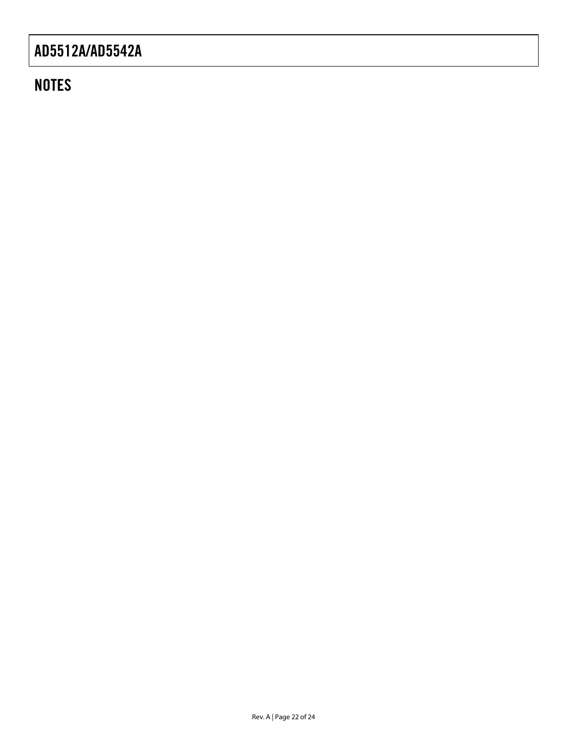### **NOTES**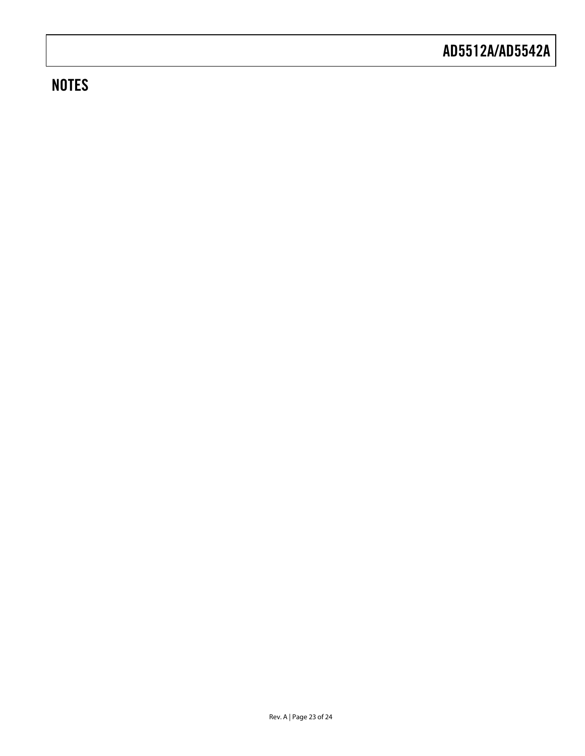### **NOTES**